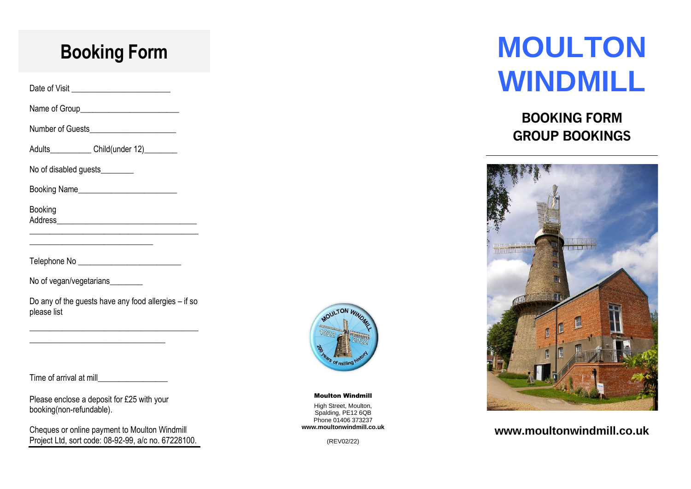### **Booking Form**

Date of Visit \_\_\_\_\_\_\_\_\_\_\_\_\_\_\_\_\_\_\_\_\_\_\_\_

Name of Group

Number of Guests

Adults Child(under 12)

\_\_\_\_\_\_\_\_\_\_\_\_\_\_\_\_\_\_\_\_\_\_\_\_\_\_\_\_\_\_

No of disabled guests\_\_\_\_\_\_\_\_\_

Booking Name\_\_\_\_\_\_\_\_\_\_\_\_\_\_\_\_\_\_\_\_\_\_\_\_

Booking Address\_\_\_\_\_\_\_\_\_\_\_\_\_\_\_\_\_\_\_\_\_\_\_\_\_\_\_\_\_\_\_\_\_\_

Telephone No \_\_\_\_\_\_\_\_\_\_\_\_\_\_\_\_\_\_\_\_\_\_\_\_\_

No of vegan/vegetarians

Do any of the guests have any food allergies – if so please list

\_\_\_\_\_\_\_\_\_\_\_\_\_\_\_\_\_\_\_\_\_\_\_\_\_\_\_\_\_\_\_\_\_\_\_\_\_\_\_\_\_

\_\_\_\_\_\_\_\_\_\_\_\_\_\_\_\_\_\_\_\_\_\_\_\_\_\_\_\_\_\_\_\_\_\_\_\_\_\_\_\_\_

Time of arrival at mill\_\_\_\_\_\_\_\_\_\_\_\_\_\_\_\_\_

Please enclose a deposit for £25 with your booking(non-refundable).

\_\_\_\_\_\_\_\_\_\_\_\_\_\_\_\_\_\_\_\_\_\_\_\_\_\_\_\_\_\_\_\_\_

Cheques or online payment to Moulton Windmill Project Ltd, sort code: 08-92-99, a/c no. 67228100.



Moulton Windmill

High Street, Moulton, Spalding, PE12 6QB Phone 01406 373237 **www.moultonwindmill.co.uk**

(REV02/22)

# **MOULTON WINDMILL**

### **BOOKING FORM GROUP BOOKINGS**



### **www.moultonwindmill.co.uk**